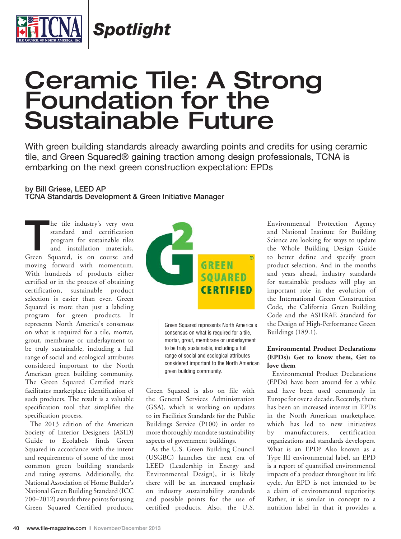

*Spotlight*

# Ceramic Tile: A Strong Foundation for the Sustainable Future

With green building standards already awarding points and credits for using ceramic tile, and Green Squared® gaining traction among design professionals, TCNA is embarking on the next green construction expectation: EPDs

## **by Bill Griese, LEED AP**

**TCNA Standards Development & Green Initiative Manager**

**T**he tile industry's very own Green Squared, is on course and standard and certification program for sustainable tiles and installation materials, moving forward with momentum. With hundreds of products either certified or in the process of obtaining certification, sustainable product selection is easier than ever. Green Squared is more than just a labeling program for green products. It represents North America's consensus on what is required for a tile, mortar, grout, membrane or underlayment to be truly sustainable, including a full range of social and ecological attributes considered important to the North American green building community. The Green Squared Certified mark facilitates marketplace identification of such products. The result is a valuable specification tool that simplifies the specification process.

The 2013 edition of the American Society of Interior Designers (ASID) Guide to Ecolabels finds Green Squared in accordance with the intent and requirements of some of the most common green building standards and rating systems. Additionally, the National Association of Home Builder's National Green Building Standard (ICC 700–2012) awards three points for using Green Squared Certified products.



Green Squared represents North America's consensus on what is required for a tile, mortar, grout, membrane or underlayment to be truly sustainable, including a full range of social and ecological attributes considered important to the North American green building community.

Green Squared is also on file with the General Services Administration (GSA), which is working on updates to its Facilities Standards for the Public Buildings Service (P100) in order to more thoroughly mandate sustainability aspects of government buildings.

As the U.S. Green Building Council (USGBC) launches the next era of LEED (Leadership in Energy and Environmental Design), it is likely there will be an increased emphasis on industry sustainability standards and possible points for the use of certified products. Also, the U.S.

Environmental Protection Agency and National Institute for Building Science are looking for ways to update the Whole Building Design Guide to better define and specify green product selection. And in the months and years ahead, industry standards for sustainable products will play an important role in the evolution of the International Green Construction Code, the California Green Building Code and the ASHRAE Standard for the Design of High-Performance Green Buildings (189.1).

#### **Environmental Product Declarations (EPDs): Get to know them, Get to love them**

Environmental Product Declarations (EPDs) have been around for a while and have been used commonly in Europe for over a decade. Recently, there has been an increased interest in EPDs in the North American marketplace, which has led to new initiatives by manufacturers, certification organizations and standards developers. What is an EPD? Also known as a Type III environmental label, an EPD is a report of quantified environmental impacts of a product throughout its life cycle. An EPD is not intended to be a claim of environmental superiority. Rather, it is similar in concept to a nutrition label in that it provides a